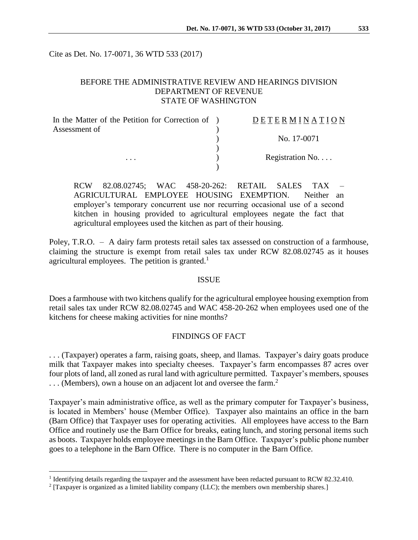Cite as Det. No. 17-0071, 36 WTD 533 (2017)

# BEFORE THE ADMINISTRATIVE REVIEW AND HEARINGS DIVISION DEPARTMENT OF REVENUE STATE OF WASHINGTON

| In the Matter of the Petition for Correction of ) | DETERMINATION   |
|---------------------------------------------------|-----------------|
| Assessment of                                     | No. 17-0071     |
|                                                   |                 |
| $\cdots$                                          | Registration No |
|                                                   |                 |

RCW 82.08.02745; WAC 458-20-262: RETAIL SALES TAX – AGRICULTURAL EMPLOYEE HOUSING EXEMPTION. Neither an employer's temporary concurrent use nor recurring occasional use of a second kitchen in housing provided to agricultural employees negate the fact that agricultural employees used the kitchen as part of their housing.

Poley, T.R.O. – A dairy farm protests retail sales tax assessed on construction of a farmhouse, claiming the structure is exempt from retail sales tax under RCW 82.08.02745 as it houses agricultural employees. The petition is granted.<sup>1</sup>

#### ISSUE

Does a farmhouse with two kitchens qualify for the agricultural employee housing exemption from retail sales tax under RCW 82.08.02745 and WAC 458-20-262 when employees used one of the kitchens for cheese making activities for nine months?

# FINDINGS OF FACT

. . . (Taxpayer) operates a farm, raising goats, sheep, and llamas. Taxpayer's dairy goats produce milk that Taxpayer makes into specialty cheeses. Taxpayer's farm encompasses 87 acres over four plots of land, all zoned as rural land with agriculture permitted. Taxpayer's members, spouses ... (Members), own a house on an adjacent lot and oversee the farm.<sup>2</sup>

Taxpayer's main administrative office, as well as the primary computer for Taxpayer's business, is located in Members' house (Member Office). Taxpayer also maintains an office in the barn (Barn Office) that Taxpayer uses for operating activities. All employees have access to the Barn Office and routinely use the Barn Office for breaks, eating lunch, and storing personal items such as boots. Taxpayer holds employee meetings in the Barn Office. Taxpayer's public phone number goes to a telephone in the Barn Office. There is no computer in the Barn Office.

 $\overline{a}$ 

<sup>&</sup>lt;sup>1</sup> Identifying details regarding the taxpayer and the assessment have been redacted pursuant to RCW 82.32.410.

 $2$  [Taxpayer is organized as a limited liability company (LLC); the members own membership shares.]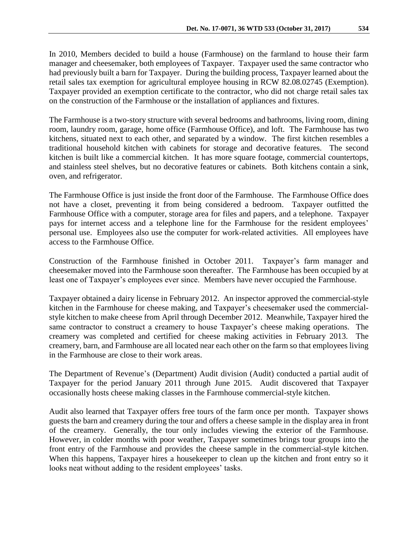In 2010, Members decided to build a house (Farmhouse) on the farmland to house their farm manager and cheesemaker, both employees of Taxpayer. Taxpayer used the same contractor who had previously built a barn for Taxpayer. During the building process, Taxpayer learned about the retail sales tax exemption for agricultural employee housing in RCW 82.08.02745 (Exemption). Taxpayer provided an exemption certificate to the contractor, who did not charge retail sales tax on the construction of the Farmhouse or the installation of appliances and fixtures.

The Farmhouse is a two-story structure with several bedrooms and bathrooms, living room, dining room, laundry room, garage, home office (Farmhouse Office), and loft. The Farmhouse has two kitchens, situated next to each other, and separated by a window. The first kitchen resembles a traditional household kitchen with cabinets for storage and decorative features. The second kitchen is built like a commercial kitchen. It has more square footage, commercial countertops, and stainless steel shelves, but no decorative features or cabinets. Both kitchens contain a sink, oven, and refrigerator.

The Farmhouse Office is just inside the front door of the Farmhouse. The Farmhouse Office does not have a closet, preventing it from being considered a bedroom. Taxpayer outfitted the Farmhouse Office with a computer, storage area for files and papers, and a telephone. Taxpayer pays for internet access and a telephone line for the Farmhouse for the resident employees' personal use. Employees also use the computer for work-related activities. All employees have access to the Farmhouse Office.

Construction of the Farmhouse finished in October 2011. Taxpayer's farm manager and cheesemaker moved into the Farmhouse soon thereafter. The Farmhouse has been occupied by at least one of Taxpayer's employees ever since. Members have never occupied the Farmhouse.

Taxpayer obtained a dairy license in February 2012. An inspector approved the commercial-style kitchen in the Farmhouse for cheese making, and Taxpayer's cheesemaker used the commercialstyle kitchen to make cheese from April through December 2012. Meanwhile, Taxpayer hired the same contractor to construct a creamery to house Taxpayer's cheese making operations. The creamery was completed and certified for cheese making activities in February 2013. The creamery, barn, and Farmhouse are all located near each other on the farm so that employees living in the Farmhouse are close to their work areas.

The Department of Revenue's (Department) Audit division (Audit) conducted a partial audit of Taxpayer for the period January 2011 through June 2015. Audit discovered that Taxpayer occasionally hosts cheese making classes in the Farmhouse commercial-style kitchen.

Audit also learned that Taxpayer offers free tours of the farm once per month. Taxpayer shows guests the barn and creamery during the tour and offers a cheese sample in the display area in front of the creamery. Generally, the tour only includes viewing the exterior of the Farmhouse. However, in colder months with poor weather, Taxpayer sometimes brings tour groups into the front entry of the Farmhouse and provides the cheese sample in the commercial-style kitchen. When this happens, Taxpayer hires a housekeeper to clean up the kitchen and front entry so it looks neat without adding to the resident employees' tasks.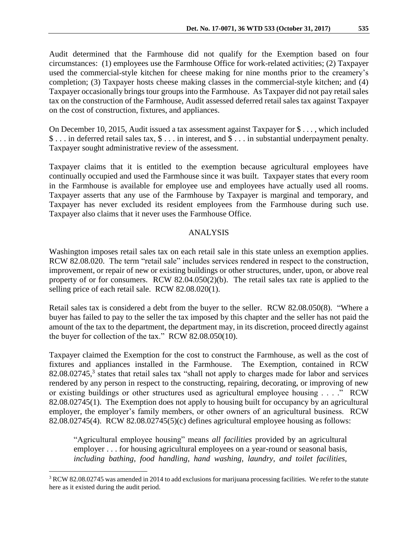Audit determined that the Farmhouse did not qualify for the Exemption based on four circumstances: (1) employees use the Farmhouse Office for work-related activities; (2) Taxpayer used the commercial-style kitchen for cheese making for nine months prior to the creamery's completion; (3) Taxpayer hosts cheese making classes in the commercial-style kitchen; and (4) Taxpayer occasionally brings tour groups into the Farmhouse. As Taxpayer did not pay retail sales tax on the construction of the Farmhouse, Audit assessed deferred retail sales tax against Taxpayer on the cost of construction, fixtures, and appliances.

On December 10, 2015, Audit issued a tax assessment against Taxpayer for \$ . . . , which included \$ . . . in deferred retail sales tax, \$ . . . in interest, and \$ . . . in substantial underpayment penalty. Taxpayer sought administrative review of the assessment.

Taxpayer claims that it is entitled to the exemption because agricultural employees have continually occupied and used the Farmhouse since it was built. Taxpayer states that every room in the Farmhouse is available for employee use and employees have actually used all rooms. Taxpayer asserts that any use of the Farmhouse by Taxpayer is marginal and temporary, and Taxpayer has never excluded its resident employees from the Farmhouse during such use. Taxpayer also claims that it never uses the Farmhouse Office.

### ANALYSIS

Washington imposes retail sales tax on each retail sale in this state unless an exemption applies. RCW 82.08.020. The term "retail sale" includes services rendered in respect to the construction, improvement, or repair of new or existing buildings or other structures, under, upon, or above real property of or for consumers. RCW 82.04.050(2)(b). The retail sales tax rate is applied to the selling price of each retail sale. RCW 82.08.020(1).

Retail sales tax is considered a debt from the buyer to the seller. RCW 82.08.050(8). "Where a buyer has failed to pay to the seller the tax imposed by this chapter and the seller has not paid the amount of the tax to the department, the department may, in its discretion, proceed directly against the buyer for collection of the tax." RCW 82.08.050(10).

Taxpayer claimed the Exemption for the cost to construct the Farmhouse, as well as the cost of fixtures and appliances installed in the Farmhouse. The Exemption, contained in RCW  $82.08.02745$ ,<sup>3</sup> states that retail sales tax "shall not apply to charges made for labor and services rendered by any person in respect to the constructing, repairing, decorating, or improving of new or existing buildings or other structures used as agricultural employee housing . . . ." RCW 82.08.02745(1). The Exemption does not apply to housing built for occupancy by an agricultural employer, the employer's family members, or other owners of an agricultural business. RCW 82.08.02745(4). RCW 82.08.02745(5)(c) defines agricultural employee housing as follows:

"Agricultural employee housing" means *all facilities* provided by an agricultural employer . . . for housing agricultural employees on a year-round or seasonal basis, *including bathing, food handling, hand washing, laundry, and toilet facilities,*

 $\overline{a}$ 

<sup>&</sup>lt;sup>3</sup> RCW 82.08.02745 was amended in 2014 to add exclusions for marijuana processing facilities. We refer to the statute here as it existed during the audit period.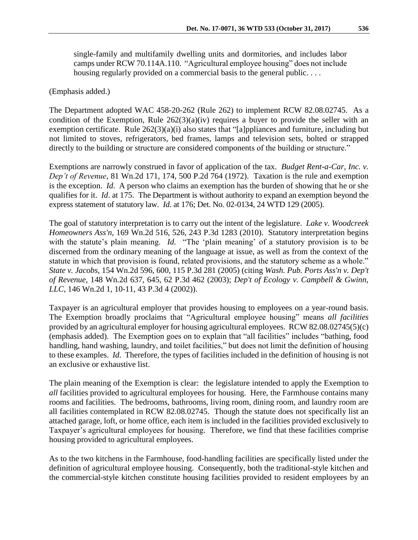single-family and multifamily dwelling units and dormitories, and includes labor camps under RCW 70.114A.110. "Agricultural employee housing" does not include housing regularly provided on a commercial basis to the general public. . . .

(Emphasis added.)

The Department adopted WAC 458-20-262 (Rule 262) to implement RCW 82.08.02745. As a condition of the Exemption, Rule  $262(3)(a)(iv)$  requires a buyer to provide the seller with an exemption certificate. Rule 262(3)(a)(i) also states that "[a]ppliances and furniture, including but not limited to stoves, refrigerators, bed frames, lamps and television sets, bolted or strapped directly to the building or structure are considered components of the building or structure."

Exemptions are narrowly construed in favor of application of the tax. *Budget Rent-a-Car, Inc. v. Dep't of Revenue*, 81 Wn.2d 171, 174, 500 P.2d 764 (1972). Taxation is the rule and exemption is the exception. *Id*. A person who claims an exemption has the burden of showing that he or she qualifies for it. *Id*. at 175. The Department is without authority to expand an exemption beyond the express statement of statutory law. *Id.* at 176; Det. No. 02-0134, 24 WTD 129 (2005).

The goal of statutory interpretation is to carry out the intent of the legislature. *Lake v. Woodcreek Homeowners Ass'n,* 169 Wn.2d 516, 526, 243 P.3d 1283 (2010). Statutory interpretation begins with the statute's plain meaning. *Id.* "The 'plain meaning' of a statutory provision is to be discerned from the ordinary meaning of the language at issue, as well as from the context of the statute in which that provision is found, related provisions, and the statutory scheme as a whole." *State v. Jacobs*, 154 Wn.2d 596, 600, 115 P.3d 281 (2005) (citing *Wash. Pub. Ports Ass'n v. Dep't of Revenue*, 148 Wn.2d 637, 645, 62 P.3d 462 (2003); *Dep't of Ecology v. Campbell & Gwinn, LLC*, 146 Wn.2d 1, 10-11, 43 P.3d 4 (2002)).

Taxpayer is an agricultural employer that provides housing to employees on a year-round basis. The Exemption broadly proclaims that "Agricultural employee housing" means *all facilities* provided by an agricultural employer for housing agricultural employees. RCW 82.08.02745(5)(c) (emphasis added). The Exemption goes on to explain that "all facilities" includes "bathing, food handling, hand washing, laundry, and toilet facilities," but does not limit the definition of housing to these examples. *Id*. Therefore, the types of facilities included in the definition of housing is not an exclusive or exhaustive list.

The plain meaning of the Exemption is clear: the legislature intended to apply the Exemption to *all* facilities provided to agricultural employees for housing. Here, the Farmhouse contains many rooms and facilities. The bedrooms, bathrooms, living room, dining room, and laundry room are all facilities contemplated in RCW 82.08.02745. Though the statute does not specifically list an attached garage, loft, or home office, each item is included in the facilities provided exclusively to Taxpayer's agricultural employees for housing. Therefore, we find that these facilities comprise housing provided to agricultural employees.

As to the two kitchens in the Farmhouse, food-handling facilities are specifically listed under the definition of agricultural employee housing. Consequently, both the traditional-style kitchen and the commercial-style kitchen constitute housing facilities provided to resident employees by an